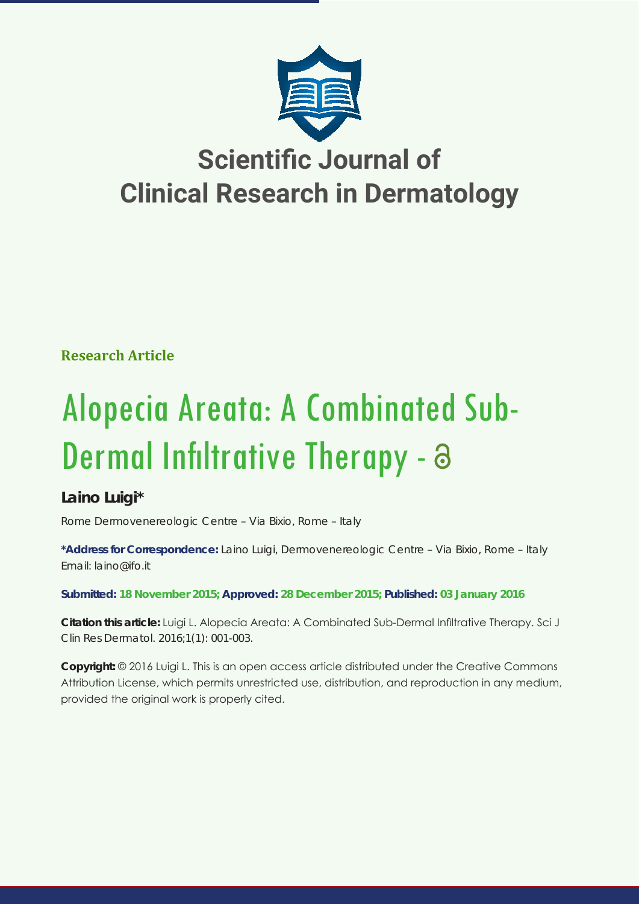

**Research Article**

# Alopecia Areata: A Combinated Sub-Dermal Infiltrative Therapy - a

## **Laino Luigi\***

*Rome Dermovenereologic Centre – Via Bixio, Rome – Italy*

**\*Address for Correspondence:** Laino Luigi, Dermovenereologic Centre – Via Bixio, Rome – Italy Email: laino@ifo.it

**Submitted: 18 November 2015; Approved: 28 December 2015; Published: 03 January 2016**

**Citation this article:** Luigi L. Alopecia Areata: A Combinated Sub-Dermal Infiltrative Therapy. Sci J Clin Res Dermatol. 2016;1(1): 001-003.

**Copyright:** © 2016 Luigi L. This is an open access article distributed under the Creative Commons Attribution License, which permits unrestricted use, distribution, and reproduction in any medium, provided the original work is properly cited.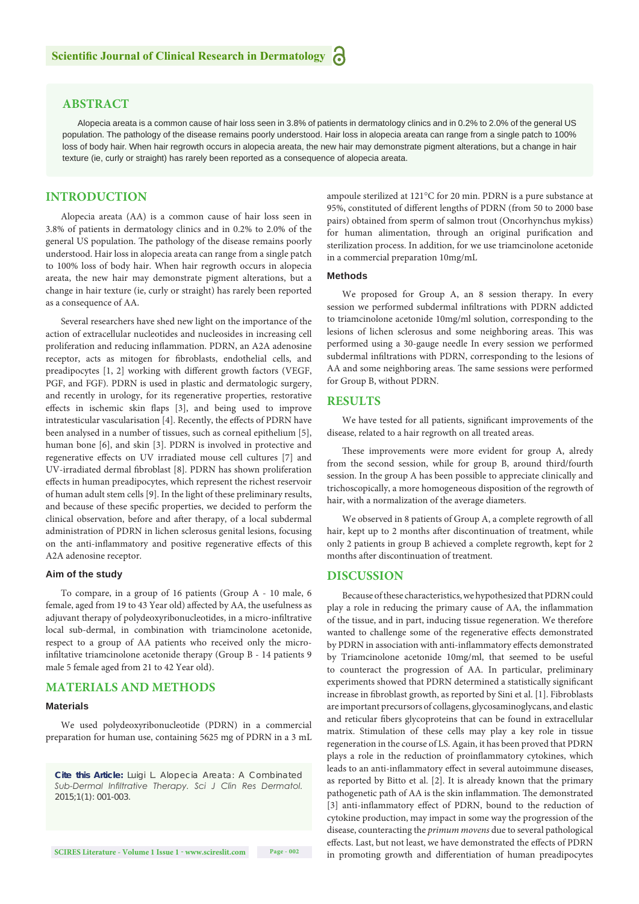### **ABSTRACT**

Alopecia areata is a common cause of hair loss seen in 3.8% of patients in dermatology clinics and in 0.2% to 2.0% of the general US population. The pathology of the disease remains poorly understood. Hair loss in alopecia areata can range from a single patch to 100% loss of body hair. When hair regrowth occurs in alopecia areata, the new hair may demonstrate pigment alterations, but a change in hair texture (ie, curly or straight) has rarely been reported as a consequence of alopecia areata.

#### **INTRODUCTION**

Alopecia areata (AA) is a common cause of hair loss seen in 3.8% of patients in dermatology clinics and in 0.2% to 2.0% of the general US population. The pathology of the disease remains poorly understood. Hair loss in alopecia areata can range from a single patch to 100% loss of body hair. When hair regrowth occurs in alopecia areata, the new hair may demonstrate pigment alterations, but a change in hair texture (ie, curly or straight) has rarely been reported as a consequence of AA.

Several researchers have shed new light on the importance of the action of extracellular nucleotides and nucleosides in increasing cell proliferation and reducing inflammation. PDRN, an A2A adenosine receptor, acts as mitogen for fibroblasts, endothelial cells, and preadipocytes [1, 2] working with different growth factors (VEGF, PGF, and FGF). PDRN is used in plastic and dermatologic surgery, and recently in urology, for its regenerative properties, restorative effects in ischemic skin flaps [3], and being used to improve intratesticular vascularisation [4]. Recently, the effects of PDRN have been analysed in a number of tissues, such as corneal epithelium [5], human bone [6], and skin [3]. PDRN is involved in protective and regenerative effects on UV irradiated mouse cell cultures [7] and UV-irradiated dermal fibroblast [8]. PDRN has shown proliferation effects in human preadipocytes, which represent the richest reservoir of human adult stem cells [9]. In the light of these preliminary results, and because of these specific properties, we decided to perform the clinical observation, before and after therapy, of a local subdermal administration of PDRN in lichen sclerosus genital lesions, focusing on the anti-inflammatory and positive regenerative effects of this A2A adenosine receptor.

#### **Aim of the study**

To compare, in a group of 16 patients (Group A - 10 male, 6 female, aged from 19 to 43 Year old) affected by AA, the usefulness as adjuvant therapy of polydeoxyribonucleotides, in a micro-infiltrative local sub-dermal, in combination with triamcinolone acetonide, respect to a group of AA patients who received only the microinfiltative triamcinolone acetonide therapy (Group B - 14 patients 9 male 5 female aged from 21 to 42 Year old).

#### **MATERIALS AND METHODS**

#### **Materials**

We used polydeoxyribonucleotide (PDRN) in a commercial preparation for human use, containing 5625 mg of PDRN in a 3 mL

*Cite this Article: Luigi L. Alopecia Areata: A Combinated Sub-Dermal Infiltrative Therapy. Sci J Clin Res Dermatol. 2015;1(1): 001-003.*

**SCIRES Literature - Volume 1 Issue 1 - www.scireslit.com Page - 002**

ampoule sterilized at 121°C for 20 min. PDRN is a pure substance at 95%, constituted of different lengths of PDRN (from 50 to 2000 base pairs) obtained from sperm of salmon trout (Oncorhynchus mykiss) for human alimentation, through an original purification and sterilization process. In addition, for we use triamcinolone acetonide in a commercial preparation 10mg/mL

#### **Methods**

We proposed for Group A, an 8 session therapy. In every session we performed subdermal infiltrations with PDRN addicted to triamcinolone acetonide 10mg/ml solution, corresponding to the lesions of lichen sclerosus and some neighboring areas. This was performed using a 30-gauge needle In every session we performed subdermal infiltrations with PDRN, corresponding to the lesions of AA and some neighboring areas. The same sessions were performed for Group B, without PDRN.

#### **RESULTS**

We have tested for all patients, significant improvements of the disease, related to a hair regrowth on all treated areas.

These improvements were more evident for group A, alredy from the second session, while for group B, around third/fourth session. In the group A has been possible to appreciate clinically and trichoscopically, a more homogeneous disposition of the regrowth of hair, with a normalization of the average diameters.

We observed in 8 patients of Group A, a complete regrowth of all hair, kept up to 2 months after discontinuation of treatment, while only 2 patients in group B achieved a complete regrowth, kept for 2 months after discontinuation of treatment.

#### **DISCUSSION**

Because of these characteristics, we hypothesized that PDRN could play a role in reducing the primary cause of AA, the inflammation of the tissue, and in part, inducing tissue regeneration. We therefore wanted to challenge some of the regenerative effects demonstrated by PDRN in association with anti-inflammatory effects demonstrated by Triamcinolone acetonide 10mg/ml, that seemed to be useful to counteract the progression of AA. In particular, preliminary experiments showed that PDRN determined a statistically significant increase in fibroblast growth, as reported by Sini et al. [1]. Fibroblasts are important precursors of collagens, glycosaminoglycans, and elastic and reticular fibers glycoproteins that can be found in extracellular matrix. Stimulation of these cells may play a key role in tissue regeneration in the course of LS. Again, it has been proved that PDRN plays a role in the reduction of proinflammatory cytokines, which leads to an anti-inflammatory effect in several autoimmune diseases, as reported by Bitto et al. [2]. It is already known that the primary pathogenetic path of AA is the skin inflammation. The demonstrated [3] anti-inflammatory effect of PDRN, bound to the reduction of cytokine production, may impact in some way the progression of the disease, counteracting the *primum movens* due to several pathological effects. Last, but not least, we have demonstrated the effects of PDRN in promoting growth and differentiation of human preadipocytes